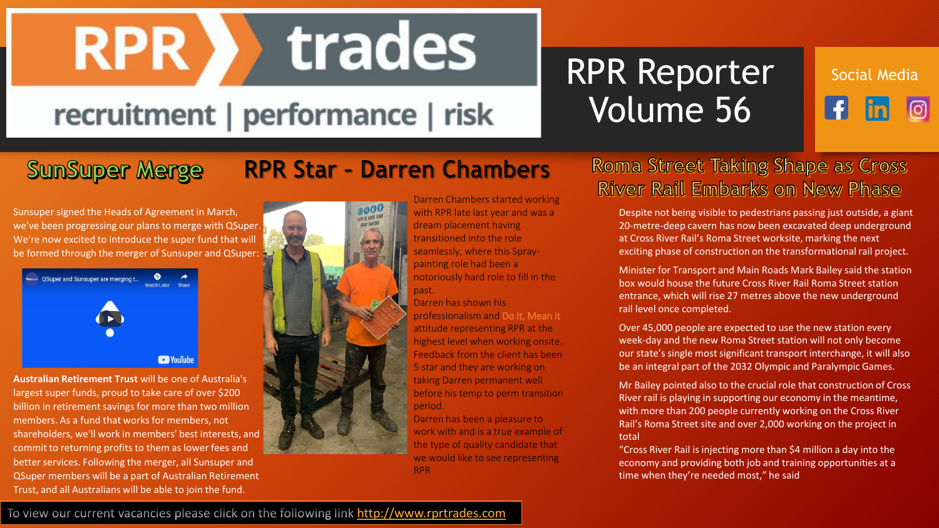## trades **RPR >>**

## recruitment | performance | risk

## RPR Reporter Volume 56

## Social Mediaര

#### **SunSuper Merge**

Sunsuper signed the Heads of Agreement in March, we've been progressing our plans to merge with QSuper. We're now excited to introduce the super fund that will be formed through the merger of Sunsuper and QSuper:



**Australian Retirement Trust** will be one of Australia's largest super funds, proud to take care of over \$200 billion in retirement savings for more than two million members. As a fund that works for members, not shareholders, we'll work in members' best interests, and commit to returning profits to them as lower fees and better services. Following the merger, all Sunsuper and QSuper members will be a part of Australian Retirement Trust, and all Australians will be able to join the fund.

# $000$ HUST BE HORN WHEN copay PLINTING

**RPR Star - Darren Chambers** 

Darren Chambers started working with RPR late last year and was a dream placement having transitioned into the role seamlessly, where this Spraypainting role had been a notoriously hard role to fill in the past.

Darren has shown his professionalism and Do it, Mean it attitude representing RPR at the highest level when working onsite. Feedback from the client has been 5 star and they are working on taking Darren permanent well before his temp to perm transition period.

Darren has been a pleasure to work with and is a true example of the type of quality candidate that we would like to see representing RPR

#### **Roma Street Taking Shape as Cross River Rail Embarks on New Phase**

Despite not being visible to pedestrians passing just outside, a giant 20-metre-deep cavern has now been excavated deep underground at Cross River Rail's Roma Street worksite, marking the next exciting phase of construction on the transformational rail project.

Minister for Transport and Main Roads Mark Bailey said the station box would house the future Cross River Rail Roma Street station entrance, which will rise 27 metres above the new underground rail level once completed.

Over 45,000 people are expected to use the new station every week-day and the new Roma Street station will not only become our state's single most significant transport interchange, it will also be an integral part of the 2032 Olympic and Paralympic Games.

Mr Bailey pointed also to the crucial role that construction of Cross River rail is playing in supporting our economy in the meantime, with more than 200 people currently working on the Cross River Rail's Roma Street site and over 2,000 working on the project in total

"Cross River Rail is injecting more than \$4 million a day into the economy and providing both job and training opportunities at a time when they're needed most," he said